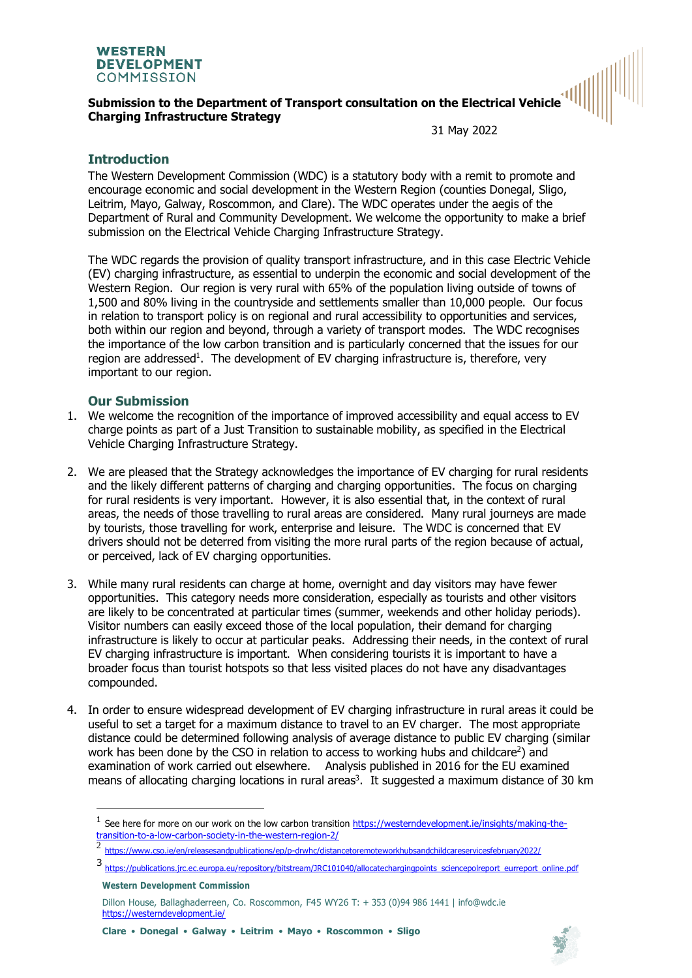

## **Submission to the Department of Transport consultation on the Electrical Vehicle Charging Infrastructure Strategy**

31 May 2022

## **Introduction**

The Western Development Commission (WDC) is a statutory body with a remit to promote and encourage economic and social development in the Western Region (counties Donegal, Sligo, Leitrim, Mayo, Galway, Roscommon, and Clare). The WDC operates under the aegis of the Department of Rural and Community Development. We welcome the opportunity to make a brief submission on the Electrical Vehicle Charging Infrastructure Strategy.

The WDC regards the provision of quality transport infrastructure, and in this case Electric Vehicle (EV) charging infrastructure, as essential to underpin the economic and social development of the Western Region. Our region is very rural with 65% of the population living outside of towns of 1,500 and 80% living in the countryside and settlements smaller than 10,000 people. Our focus in relation to transport policy is on regional and rural accessibility to opportunities and services, both within our region and beyond, through a variety of transport modes. The WDC recognises the importance of the low carbon transition and is particularly concerned that the issues for our region are addressed<sup>1</sup>. The development of EV charging infrastructure is, therefore, very important to our region.

## **Our Submission**

- 1. We welcome the recognition of the importance of improved accessibility and equal access to EV charge points as part of a Just Transition to sustainable mobility, as specified in the Electrical Vehicle Charging Infrastructure Strategy.
- 2. We are pleased that the Strategy acknowledges the importance of EV charging for rural residents and the likely different patterns of charging and charging opportunities. The focus on charging for rural residents is very important. However, it is also essential that, in the context of rural areas, the needs of those travelling to rural areas are considered. Many rural journeys are made by tourists, those travelling for work, enterprise and leisure. The WDC is concerned that EV drivers should not be deterred from visiting the more rural parts of the region because of actual, or perceived, lack of EV charging opportunities.
- 3. While many rural residents can charge at home, overnight and day visitors may have fewer opportunities. This category needs more consideration, especially as tourists and other visitors are likely to be concentrated at particular times (summer, weekends and other holiday periods). Visitor numbers can easily exceed those of the local population, their demand for charging infrastructure is likely to occur at particular peaks. Addressing their needs, in the context of rural EV charging infrastructure is important. When considering tourists it is important to have a broader focus than tourist hotspots so that less visited places do not have any disadvantages compounded.
- 4. In order to ensure widespread development of EV charging infrastructure in rural areas it could be useful to set a target for a maximum distance to travel to an EV charger. The most appropriate distance could be determined following analysis of average distance to public EV charging (similar work has been done by the CSO in relation to access to working hubs and childcare<sup>2</sup>) and examination of work carried out elsewhere. Analysis published in 2016 for the EU examined means of allocating charging locations in rural areas<sup>3</sup>. It suggested a maximum distance of 30 km



<sup>&</sup>lt;sup>1</sup> See here for more on our work on the low carbon transition [https://westerndevelopment.ie/insights/making-the](https://eur04.safelinks.protection.outlook.com/?url=https%3A%2F%2Fwesterndevelopment.ie%2Finsights%2Fmaking-the-transition-to-a-low-carbon-society-in-the-western-region-2%2F&data=04%7C01%7Chelenmchenry%40wdc.ie%7C375965ad398e440d94b608d999319233%7C3e22f9510f684cc8bd299e9a247fa4b2%7C0%7C0%7C637709260438302204%7CUnknown%7CTWFpbGZsb3d8eyJWIjoiMC4wLjAwMDAiLCJQIjoiV2luMzIiLCJBTiI6Ik1haWwiLCJXVCI6Mn0%3D%7C1000&sdata=cPRGKlqp03rtWV7i0vT76mv9hycCT5WEkPTFjupx%2FAQ%3D&reserved=0)[transition-to-a-low-carbon-society-in-the-western-region-2/](https://eur04.safelinks.protection.outlook.com/?url=https%3A%2F%2Fwesterndevelopment.ie%2Finsights%2Fmaking-the-transition-to-a-low-carbon-society-in-the-western-region-2%2F&data=04%7C01%7Chelenmchenry%40wdc.ie%7C375965ad398e440d94b608d999319233%7C3e22f9510f684cc8bd299e9a247fa4b2%7C0%7C0%7C637709260438302204%7CUnknown%7CTWFpbGZsb3d8eyJWIjoiMC4wLjAwMDAiLCJQIjoiV2luMzIiLCJBTiI6Ik1haWwiLCJXVCI6Mn0%3D%7C1000&sdata=cPRGKlqp03rtWV7i0vT76mv9hycCT5WEkPTFjupx%2FAQ%3D&reserved=0)

 $\overline{2}$ <https://www.cso.ie/en/releasesandpublications/ep/p-drwhc/distancetoremoteworkhubsandchildcareservicesfebruary2022/>

<sup>3</sup> https://publications.jrc.ec.europa.eu/repository/bitstream/JRC101040/allocatechargingpoints sciencepolreport\_eurreport\_online.pdf

**Western Development Commission**

Dillon House, Ballaghaderreen, Co. Roscommon, F45 WY26 T: + 353 (0)94 986 1441 | [info@wdc.ie](mailto:info@wdc.ie) <https://westerndevelopment.ie/>